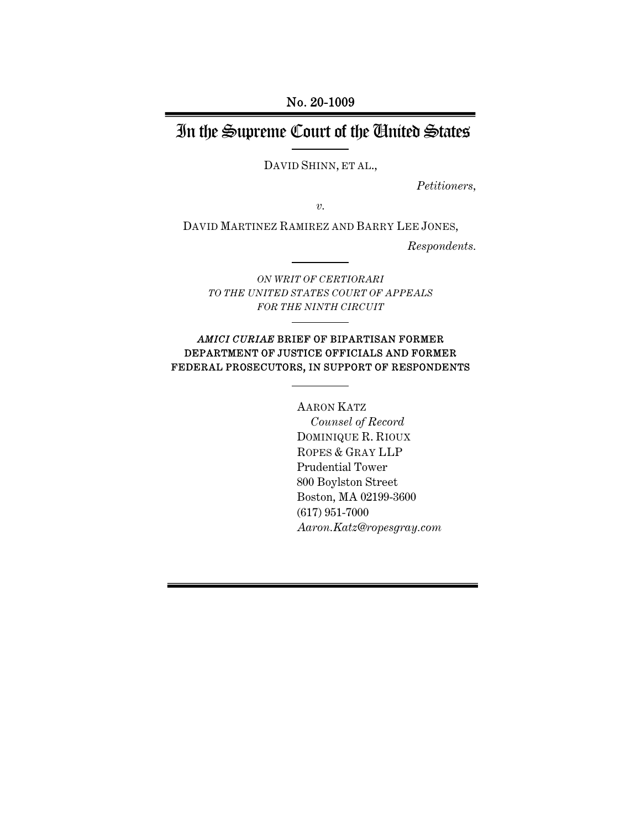No. 20-1009

# In the Supreme Court of the United States

DAVID SHINN, ET AL.,

*Petitioners,* 

*v.* 

DAVID MARTINEZ RAMIREZ AND BARRY LEE JONES,

*Respondents.* 

*ON WRIT OF CERTIORARI TO THE UNITED STATES COURT OF APPEALS FOR THE NINTH CIRCUIT*

#### *AMICI CURIAE* BRIEF OF BIPARTISAN FORMER DEPARTMENT OF JUSTICE OFFICIALS AND FORMER FEDERAL PROSECUTORS, IN SUPPORT OF RESPONDENTS

 AARON KATZ *Counsel of Record*  DOMINIQUE R. RIOUX ROPES & GRAY LLP Prudential Tower 800 Boylston Street Boston, MA 02199-3600 (617) 951-7000 *Aaron.Katz@ropesgray.com*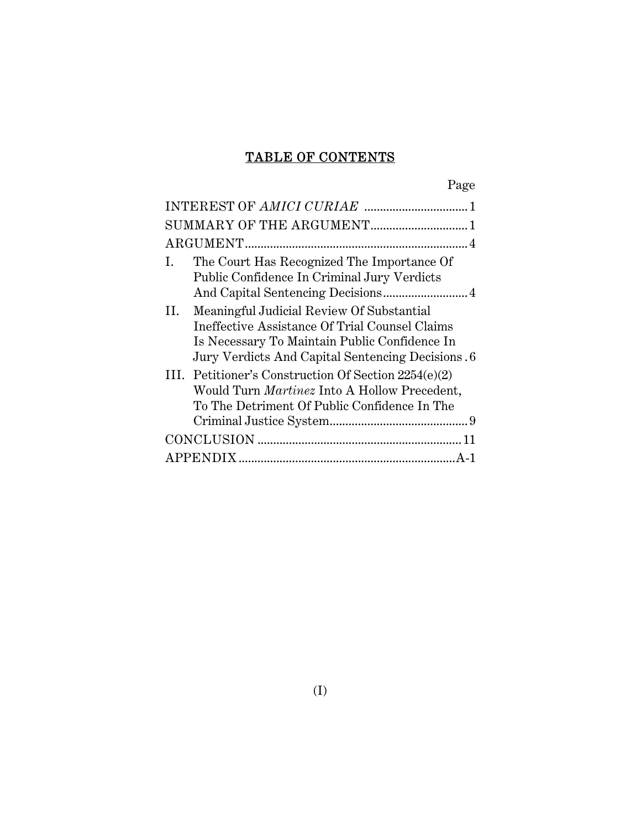# TABLE OF CONTENTS

| The Court Has Recognized The Importance Of<br>Ι.<br>Public Confidence In Criminal Jury Verdicts                                                                                                          |
|----------------------------------------------------------------------------------------------------------------------------------------------------------------------------------------------------------|
| Meaningful Judicial Review Of Substantial<br>II.<br>Ineffective Assistance Of Trial Counsel Claims<br>Is Necessary To Maintain Public Confidence In<br>Jury Verdicts And Capital Sentencing Decisions. 6 |
| III. Petitioner's Construction Of Section 2254(e)(2)<br>Would Turn <i>Martinez</i> Into A Hollow Precedent,<br>To The Detriment Of Public Confidence In The                                              |
|                                                                                                                                                                                                          |
|                                                                                                                                                                                                          |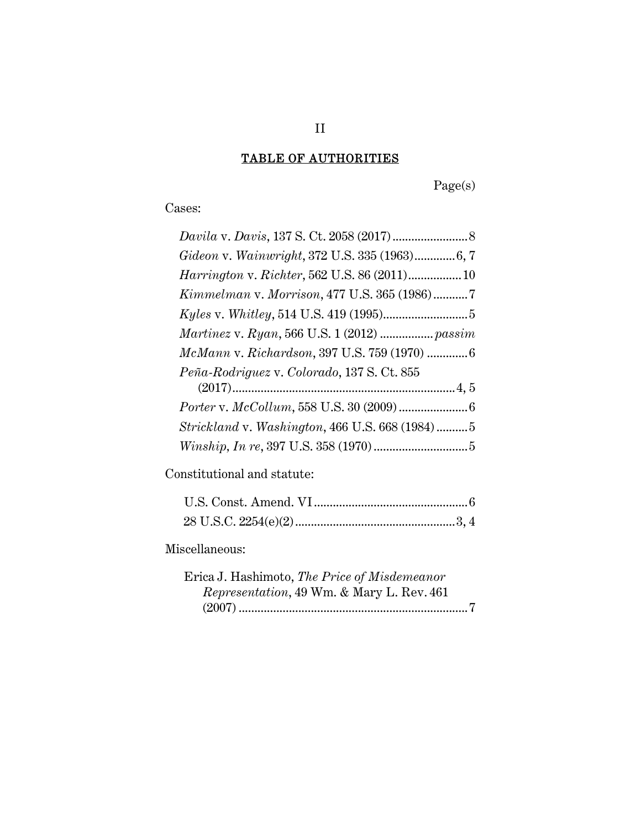# TABLE OF AUTHORITIES

Page(s)

Cases:

| Gideon v. Wainwright, 372 U.S. 335 (1963)6, 7       |  |
|-----------------------------------------------------|--|
| <i>Harrington v. Richter</i> , 562 U.S. 86 (2011)10 |  |
| Kimmelman v. Morrison, 477 U.S. 365 (1986)7         |  |
|                                                     |  |
| Martinez v. Ryan, 566 U.S. 1 (2012)  passim         |  |
| McMann v. Richardson, 397 U.S. 759 (1970) 6         |  |
| Peña-Rodriguez v. Colorado, 137 S. Ct. 855          |  |
|                                                     |  |
|                                                     |  |
| Strickland v. Washington, 466 U.S. 668 (1984)5      |  |
|                                                     |  |
|                                                     |  |

Constitutional and statute:

## Miscellaneous:

| Erica J. Hashimoto, <i>The Price of Misdemeanor</i> |  |
|-----------------------------------------------------|--|
| <i>Representation,</i> 49 Wm. & Mary L. Rev. 461    |  |
|                                                     |  |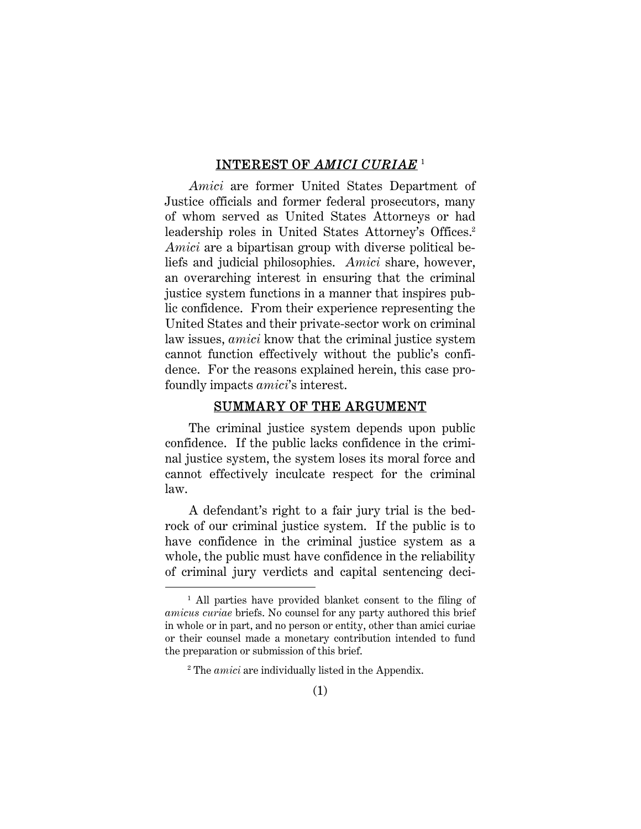#### INTEREST OF *AMICI CURIAE* <sup>1</sup>

*Amici* are former United States Department of Justice officials and former federal prosecutors, many of whom served as United States Attorneys or had leadership roles in United States Attorney's Offices.<sup>2</sup> *Amici* are a bipartisan group with diverse political beliefs and judicial philosophies. *Amici* share, however, an overarching interest in ensuring that the criminal justice system functions in a manner that inspires public confidence. From their experience representing the United States and their private-sector work on criminal law issues, *amici* know that the criminal justice system cannot function effectively without the public's confidence. For the reasons explained herein, this case profoundly impacts *amici*'s interest.

#### SUMMARY OF THE ARGUMENT

The criminal justice system depends upon public confidence. If the public lacks confidence in the criminal justice system, the system loses its moral force and cannot effectively inculcate respect for the criminal law.

A defendant's right to a fair jury trial is the bedrock of our criminal justice system. If the public is to have confidence in the criminal justice system as a whole, the public must have confidence in the reliability of criminal jury verdicts and capital sentencing deci-

Ĩ.

<sup>&</sup>lt;sup>1</sup> All parties have provided blanket consent to the filing of *amicus curiae* briefs. No counsel for any party authored this brief in whole or in part, and no person or entity, other than amici curiae or their counsel made a monetary contribution intended to fund the preparation or submission of this brief.

<sup>2</sup> The *amici* are individually listed in the Appendix.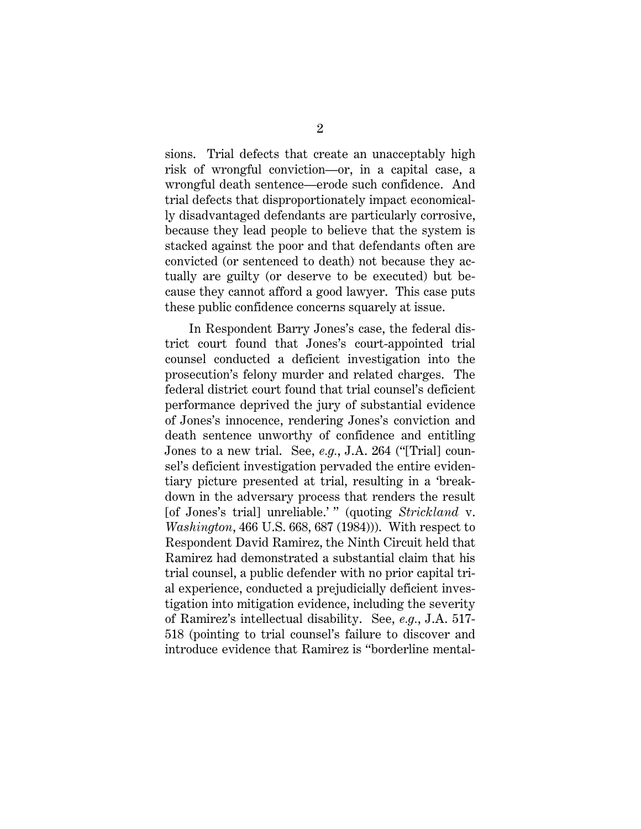sions. Trial defects that create an unacceptably high risk of wrongful conviction—or, in a capital case, a wrongful death sentence—erode such confidence. And trial defects that disproportionately impact economically disadvantaged defendants are particularly corrosive, because they lead people to believe that the system is stacked against the poor and that defendants often are convicted (or sentenced to death) not because they actually are guilty (or deserve to be executed) but because they cannot afford a good lawyer. This case puts these public confidence concerns squarely at issue.

In Respondent Barry Jones's case, the federal district court found that Jones's court-appointed trial counsel conducted a deficient investigation into the prosecution's felony murder and related charges. The federal district court found that trial counsel's deficient performance deprived the jury of substantial evidence of Jones's innocence, rendering Jones's conviction and death sentence unworthy of confidence and entitling Jones to a new trial. See, *e.g.*, J.A. 264 ("[Trial] counsel's deficient investigation pervaded the entire evidentiary picture presented at trial, resulting in a 'breakdown in the adversary process that renders the result [of Jones's trial] unreliable.' " (quoting *Strickland* v. *Washington*, 466 U.S. 668, 687 (1984))). With respect to Respondent David Ramirez, the Ninth Circuit held that Ramirez had demonstrated a substantial claim that his trial counsel, a public defender with no prior capital trial experience, conducted a prejudicially deficient investigation into mitigation evidence, including the severity of Ramirez's intellectual disability. See, *e.g.*, J.A. 517- 518 (pointing to trial counsel's failure to discover and introduce evidence that Ramirez is "borderline mental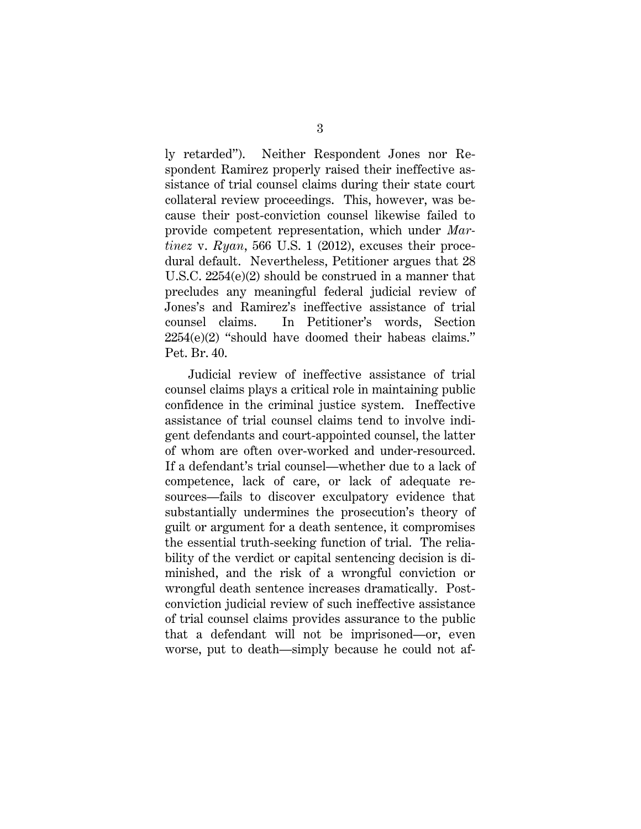ly retarded"). Neither Respondent Jones nor Respondent Ramirez properly raised their ineffective assistance of trial counsel claims during their state court collateral review proceedings. This, however, was because their post-conviction counsel likewise failed to provide competent representation, which under *Martinez* v. *Ryan*, 566 U.S. 1 (2012), excuses their procedural default. Nevertheless, Petitioner argues that 28 U.S.C. 2254(e)(2) should be construed in a manner that precludes any meaningful federal judicial review of Jones's and Ramirez's ineffective assistance of trial counsel claims. In Petitioner's words, Section  $2254(e)(2)$  "should have doomed their habeas claims." Pet. Br. 40.

Judicial review of ineffective assistance of trial counsel claims plays a critical role in maintaining public confidence in the criminal justice system. Ineffective assistance of trial counsel claims tend to involve indigent defendants and court-appointed counsel, the latter of whom are often over-worked and under-resourced. If a defendant's trial counsel—whether due to a lack of competence, lack of care, or lack of adequate resources—fails to discover exculpatory evidence that substantially undermines the prosecution's theory of guilt or argument for a death sentence, it compromises the essential truth-seeking function of trial. The reliability of the verdict or capital sentencing decision is diminished, and the risk of a wrongful conviction or wrongful death sentence increases dramatically. Postconviction judicial review of such ineffective assistance of trial counsel claims provides assurance to the public that a defendant will not be imprisoned—or, even worse, put to death—simply because he could not af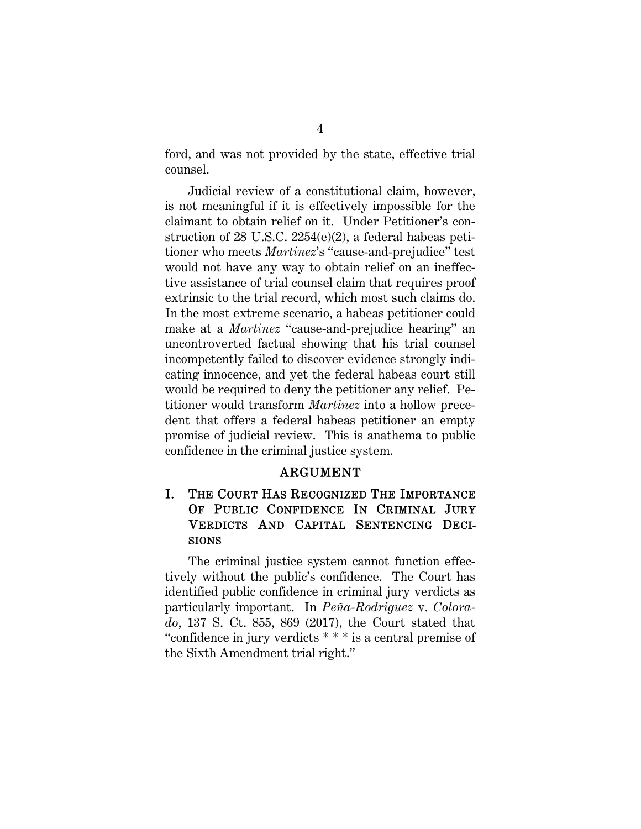ford, and was not provided by the state, effective trial counsel.

Judicial review of a constitutional claim, however, is not meaningful if it is effectively impossible for the claimant to obtain relief on it. Under Petitioner's construction of 28 U.S.C. 2254(e)(2), a federal habeas petitioner who meets *Martinez*'s "cause-and-prejudice" test would not have any way to obtain relief on an ineffective assistance of trial counsel claim that requires proof extrinsic to the trial record, which most such claims do. In the most extreme scenario, a habeas petitioner could make at a *Martinez* "cause-and-prejudice hearing" an uncontroverted factual showing that his trial counsel incompetently failed to discover evidence strongly indicating innocence, and yet the federal habeas court still would be required to deny the petitioner any relief. Petitioner would transform *Martinez* into a hollow precedent that offers a federal habeas petitioner an empty promise of judicial review. This is anathema to public confidence in the criminal justice system.

#### ARGUMENT

### I. THE COURT HAS RECOGNIZED THE IMPORTANCE OF PUBLIC CONFIDENCE IN CRIMINAL JURY VERDICTS AND CAPITAL SENTENCING DECI-SIONS

The criminal justice system cannot function effectively without the public's confidence. The Court has identified public confidence in criminal jury verdicts as particularly important. In *Peña-Rodriguez* v. *Colorado*, 137 S. Ct. 855, 869 (2017), the Court stated that "confidence in jury verdicts \* \* \* is a central premise of the Sixth Amendment trial right."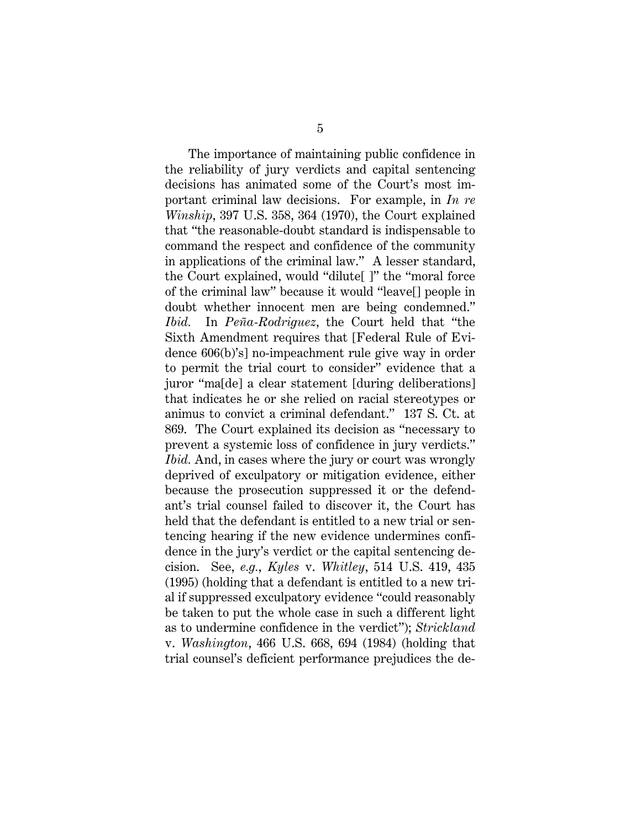The importance of maintaining public confidence in the reliability of jury verdicts and capital sentencing decisions has animated some of the Court's most important criminal law decisions. For example, in *In re Winship*, 397 U.S. 358, 364 (1970), the Court explained that "the reasonable-doubt standard is indispensable to command the respect and confidence of the community in applications of the criminal law." A lesser standard, the Court explained, would "dilute[ ]" the "moral force of the criminal law" because it would "leave[] people in doubt whether innocent men are being condemned." *Ibid.* In *Peña-Rodriguez*, the Court held that "the Sixth Amendment requires that [Federal Rule of Evidence 606(b)'s] no-impeachment rule give way in order to permit the trial court to consider" evidence that a juror "ma[de] a clear statement [during deliberations] that indicates he or she relied on racial stereotypes or animus to convict a criminal defendant." 137 S. Ct. at 869. The Court explained its decision as "necessary to prevent a systemic loss of confidence in jury verdicts." *Ibid.* And, in cases where the jury or court was wrongly deprived of exculpatory or mitigation evidence, either because the prosecution suppressed it or the defendant's trial counsel failed to discover it, the Court has held that the defendant is entitled to a new trial or sentencing hearing if the new evidence undermines confidence in the jury's verdict or the capital sentencing decision. See, *e.g.*, *Kyles* v. *Whitley*, 514 U.S. 419, 435 (1995) (holding that a defendant is entitled to a new trial if suppressed exculpatory evidence "could reasonably be taken to put the whole case in such a different light as to undermine confidence in the verdict"); *Strickland*  v. *Washington*, 466 U.S. 668, 694 (1984) (holding that trial counsel's deficient performance prejudices the de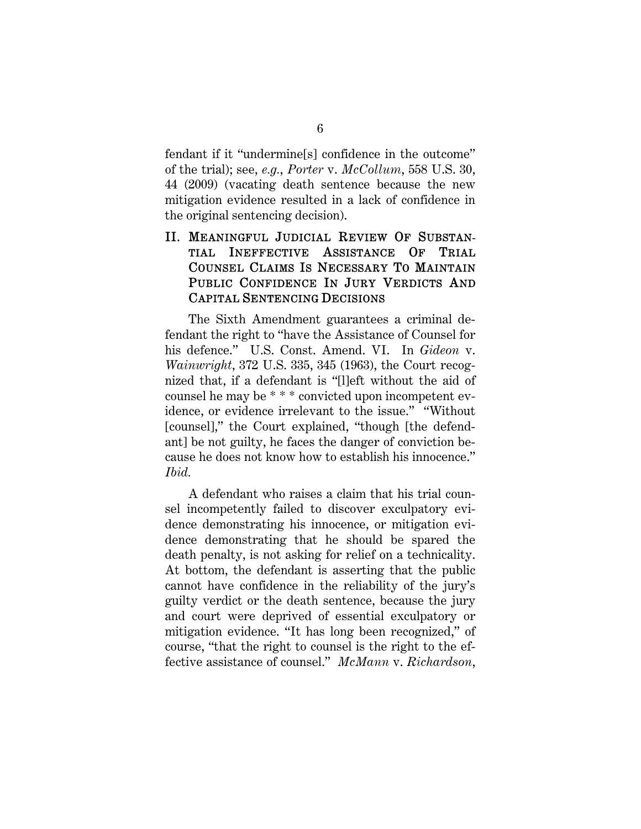fendant if it "undermine[s] confidence in the outcome" of the trial); see, *e.g.*, *Porter* v. *McCollum*, 558 U.S. 30, 44 (2009) (vacating death sentence because the new mitigation evidence resulted in a lack of confidence in the original sentencing decision).

## II. MEANINGFUL JUDICIAL REVIEW OF SUBSTAN-TIAL INEFFECTIVE ASSISTANCE OF TRIAL COUNSEL CLAIMS IS NECESSARY TO MAINTAIN PUBLIC CONFIDENCE IN JURY VERDICTS AND CAPITAL SENTENCING DECISIONS

The Sixth Amendment guarantees a criminal defendant the right to "have the Assistance of Counsel for his defence." U.S. Const. Amend. VI. In *Gideon* v. *Wainwright*, 372 U.S. 335, 345 (1963), the Court recognized that, if a defendant is "[l]eft without the aid of counsel he may be \* \* \* convicted upon incompetent evidence, or evidence irrelevant to the issue." "Without [counsel]," the Court explained, "though [the defendant] be not guilty, he faces the danger of conviction because he does not know how to establish his innocence." *Ibid.*

A defendant who raises a claim that his trial counsel incompetently failed to discover exculpatory evidence demonstrating his innocence, or mitigation evidence demonstrating that he should be spared the death penalty, is not asking for relief on a technicality. At bottom, the defendant is asserting that the public cannot have confidence in the reliability of the jury's guilty verdict or the death sentence, because the jury and court were deprived of essential exculpatory or mitigation evidence. "It has long been recognized," of course, "that the right to counsel is the right to the effective assistance of counsel." *McMann* v. *Richardson*,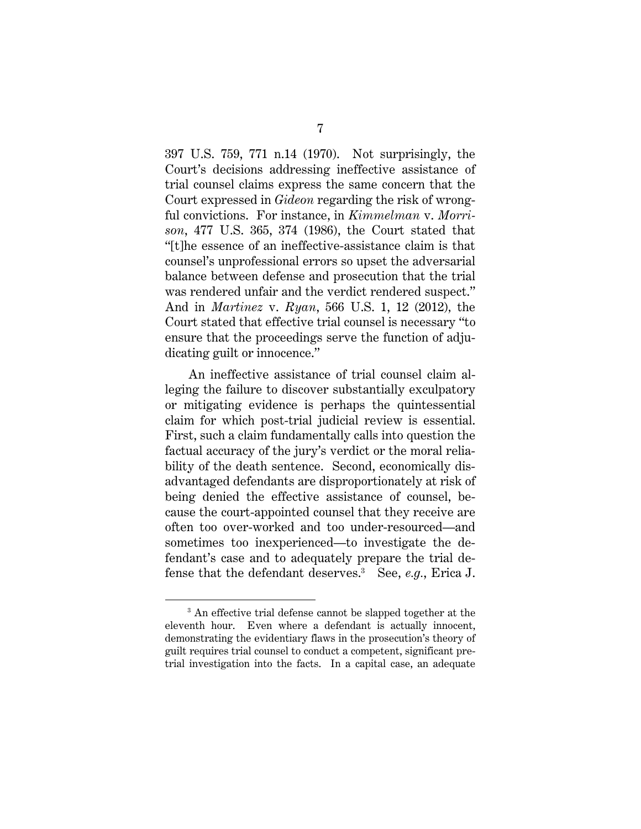397 U.S. 759, 771 n.14 (1970). Not surprisingly, the Court's decisions addressing ineffective assistance of trial counsel claims express the same concern that the Court expressed in *Gideon* regarding the risk of wrongful convictions. For instance, in *Kimmelman* v. *Morrison*, 477 U.S. 365, 374 (1986), the Court stated that "[t]he essence of an ineffective-assistance claim is that counsel's unprofessional errors so upset the adversarial balance between defense and prosecution that the trial was rendered unfair and the verdict rendered suspect." And in *Martinez* v. *Ryan*, 566 U.S. 1, 12 (2012)*,* the Court stated that effective trial counsel is necessary "to ensure that the proceedings serve the function of adjudicating guilt or innocence."

An ineffective assistance of trial counsel claim alleging the failure to discover substantially exculpatory or mitigating evidence is perhaps the quintessential claim for which post-trial judicial review is essential. First, such a claim fundamentally calls into question the factual accuracy of the jury's verdict or the moral reliability of the death sentence. Second, economically disadvantaged defendants are disproportionately at risk of being denied the effective assistance of counsel, because the court-appointed counsel that they receive are often too over-worked and too under-resourced—and sometimes too inexperienced—to investigate the defendant's case and to adequately prepare the trial defense that the defendant deserves.3 See, *e.g.*, Erica J.

ī <sup>3</sup> An effective trial defense cannot be slapped together at the eleventh hour. Even where a defendant is actually innocent, demonstrating the evidentiary flaws in the prosecution's theory of guilt requires trial counsel to conduct a competent, significant pretrial investigation into the facts. In a capital case, an adequate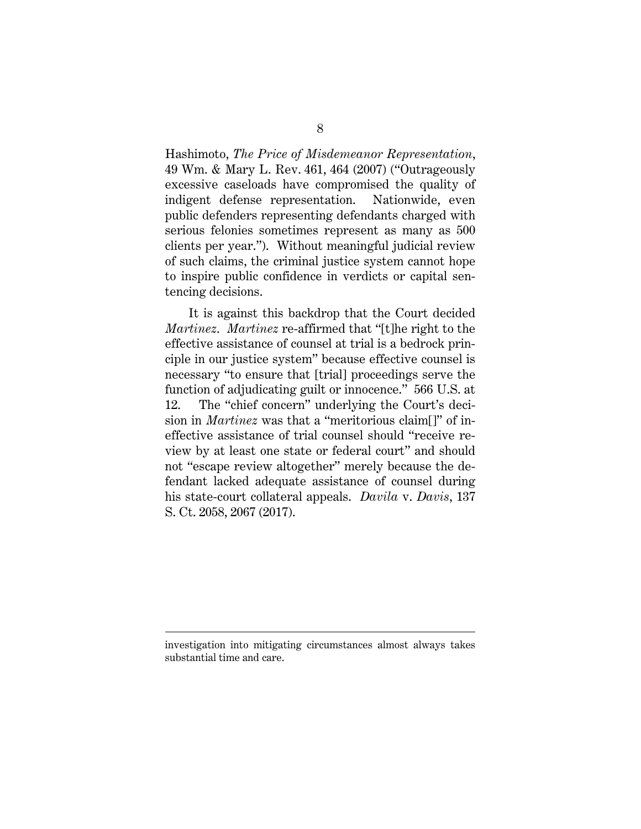Hashimoto, *The Price of Misdemeanor Representation*, 49 Wm. & Mary L. Rev. 461, 464 (2007) ("Outrageously excessive caseloads have compromised the quality of indigent defense representation. Nationwide, even public defenders representing defendants charged with serious felonies sometimes represent as many as 500 clients per year."). Without meaningful judicial review of such claims, the criminal justice system cannot hope to inspire public confidence in verdicts or capital sentencing decisions.

It is against this backdrop that the Court decided *Martinez*. *Martinez* re-affirmed that "[t]he right to the effective assistance of counsel at trial is a bedrock principle in our justice system" because effective counsel is necessary "to ensure that [trial] proceedings serve the function of adjudicating guilt or innocence." 566 U.S. at 12. The "chief concern" underlying the Court's decision in *Martinez* was that a "meritorious claim[]" of ineffective assistance of trial counsel should "receive review by at least one state or federal court" and should not "escape review altogether" merely because the defendant lacked adequate assistance of counsel during his state-court collateral appeals. *Davila* v. *Davis*, 137 S. Ct. 2058, 2067 (2017).

Ĩ.

investigation into mitigating circumstances almost always takes substantial time and care.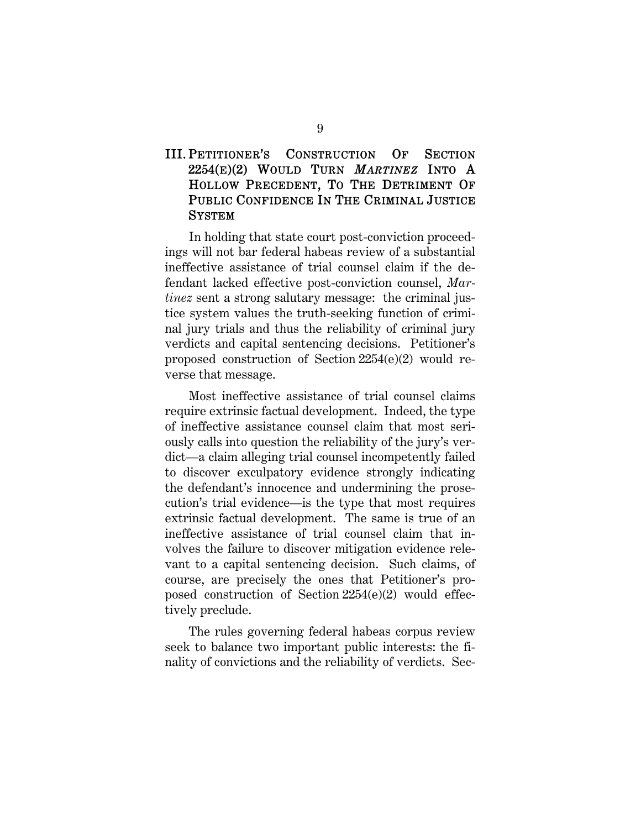### III. PETITIONER'S CONSTRUCTION OF SECTION 2254(E)(2) WOULD TURN *MARTINEZ* INTO A HOLLOW PRECEDENT, TO THE DETRIMENT OF PUBLIC CONFIDENCE IN THE CRIMINAL JUSTICE **SYSTEM**

In holding that state court post-conviction proceedings will not bar federal habeas review of a substantial ineffective assistance of trial counsel claim if the defendant lacked effective post-conviction counsel, *Martinez* sent a strong salutary message: the criminal justice system values the truth-seeking function of criminal jury trials and thus the reliability of criminal jury verdicts and capital sentencing decisions. Petitioner's proposed construction of Section 2254(e)(2) would reverse that message.

Most ineffective assistance of trial counsel claims require extrinsic factual development. Indeed, the type of ineffective assistance counsel claim that most seriously calls into question the reliability of the jury's verdict—a claim alleging trial counsel incompetently failed to discover exculpatory evidence strongly indicating the defendant's innocence and undermining the prosecution's trial evidence—is the type that most requires extrinsic factual development. The same is true of an ineffective assistance of trial counsel claim that involves the failure to discover mitigation evidence relevant to a capital sentencing decision. Such claims, of course, are precisely the ones that Petitioner's proposed construction of Section 2254(e)(2) would effectively preclude.

The rules governing federal habeas corpus review seek to balance two important public interests: the finality of convictions and the reliability of verdicts. Sec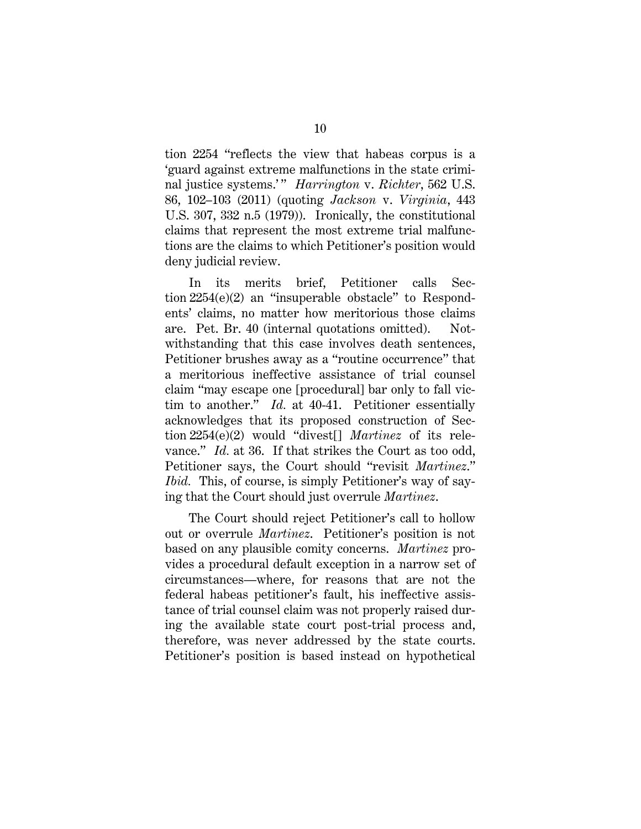tion 2254 "reflects the view that habeas corpus is a 'guard against extreme malfunctions in the state criminal justice systems.'" *Harrington v. Richter*, 562 U.S. 86, 102–103 (2011) (quoting *Jackson* v. *Virginia*, 443 U.S. 307, 332 n.5 (1979)). Ironically, the constitutional claims that represent the most extreme trial malfunctions are the claims to which Petitioner's position would deny judicial review.

In its merits brief, Petitioner calls Section 2254(e)(2) an "insuperable obstacle" to Respondents' claims, no matter how meritorious those claims are. Pet. Br. 40 (internal quotations omitted). Notwithstanding that this case involves death sentences, Petitioner brushes away as a "routine occurrence" that a meritorious ineffective assistance of trial counsel claim "may escape one [procedural] bar only to fall victim to another." *Id.* at 40-41. Petitioner essentially acknowledges that its proposed construction of Section 2254(e)(2) would "divest[] *Martinez* of its relevance." *Id.* at 36. If that strikes the Court as too odd, Petitioner says, the Court should "revisit *Martinez*." *Ibid.* This, of course, is simply Petitioner's way of saying that the Court should just overrule *Martinez*.

The Court should reject Petitioner's call to hollow out or overrule *Martinez*. Petitioner's position is not based on any plausible comity concerns. *Martinez* provides a procedural default exception in a narrow set of circumstances—where, for reasons that are not the federal habeas petitioner's fault, his ineffective assistance of trial counsel claim was not properly raised during the available state court post-trial process and, therefore, was never addressed by the state courts. Petitioner's position is based instead on hypothetical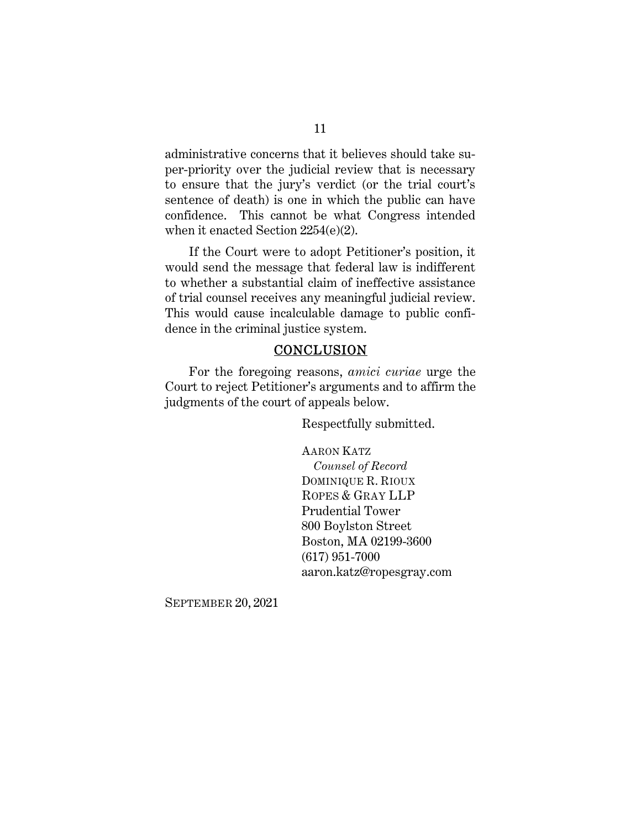administrative concerns that it believes should take super-priority over the judicial review that is necessary to ensure that the jury's verdict (or the trial court's sentence of death) is one in which the public can have confidence. This cannot be what Congress intended when it enacted Section 2254(e)(2).

If the Court were to adopt Petitioner's position, it would send the message that federal law is indifferent to whether a substantial claim of ineffective assistance of trial counsel receives any meaningful judicial review. This would cause incalculable damage to public confidence in the criminal justice system.

#### **CONCLUSION**

For the foregoing reasons, *amici curiae* urge the Court to reject Petitioner's arguments and to affirm the judgments of the court of appeals below.

Respectfully submitted.

AARON KATZ

 *Counsel of Record*  DOMINIQUE R. RIOUX ROPES & GRAY LLP Prudential Tower 800 Boylston Street Boston, MA 02199-3600 (617) 951-7000 aaron.katz@ropesgray.com

SEPTEMBER 20, 2021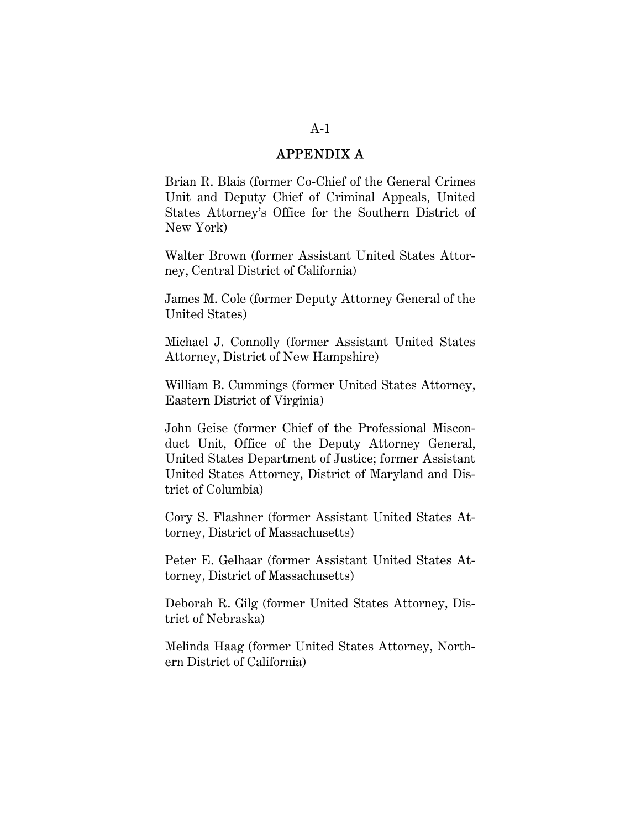#### APPENDIX A

Brian R. Blais (former Co-Chief of the General Crimes Unit and Deputy Chief of Criminal Appeals, United States Attorney's Office for the Southern District of New York)

Walter Brown (former Assistant United States Attorney, Central District of California)

James M. Cole (former Deputy Attorney General of the United States)

Michael J. Connolly (former Assistant United States Attorney, District of New Hampshire)

William B. Cummings (former United States Attorney, Eastern District of Virginia)

John Geise (former Chief of the Professional Misconduct Unit, Office of the Deputy Attorney General, United States Department of Justice; former Assistant United States Attorney, District of Maryland and District of Columbia)

Cory S. Flashner (former Assistant United States Attorney, District of Massachusetts)

Peter E. Gelhaar (former Assistant United States Attorney, District of Massachusetts)

Deborah R. Gilg (former United States Attorney, District of Nebraska)

Melinda Haag (former United States Attorney, Northern District of California)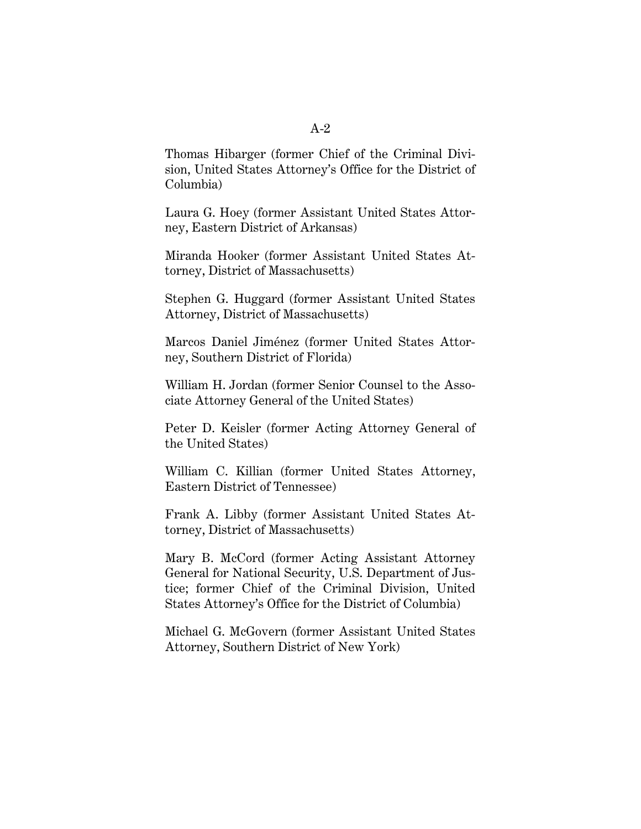Thomas Hibarger (former Chief of the Criminal Division, United States Attorney's Office for the District of Columbia)

Laura G. Hoey (former Assistant United States Attorney, Eastern District of Arkansas)

Miranda Hooker (former Assistant United States Attorney, District of Massachusetts)

Stephen G. Huggard (former Assistant United States Attorney, District of Massachusetts)

Marcos Daniel Jiménez (former United States Attorney, Southern District of Florida)

William H. Jordan (former Senior Counsel to the Associate Attorney General of the United States)

Peter D. Keisler (former Acting Attorney General of the United States)

William C. Killian (former United States Attorney, Eastern District of Tennessee)

Frank A. Libby (former Assistant United States Attorney, District of Massachusetts)

Mary B. McCord (former Acting Assistant Attorney General for National Security, U.S. Department of Justice; former Chief of the Criminal Division, United States Attorney's Office for the District of Columbia)

Michael G. McGovern (former Assistant United States Attorney, Southern District of New York)